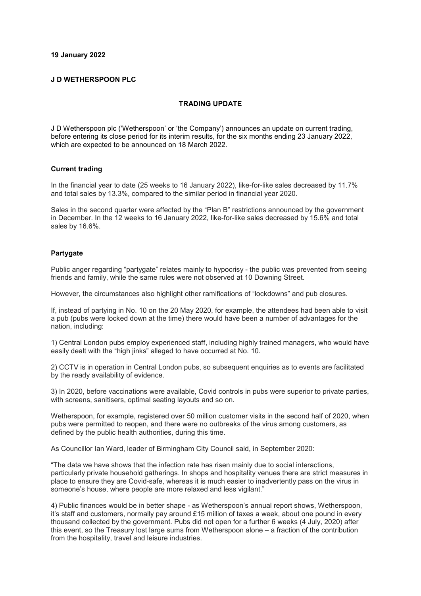#### **19 January 2022**

#### **J D WETHERSPOON PLC**

#### **TRADING UPDATE**

J D Wetherspoon plc ('Wetherspoon' or 'the Company') announces an update on current trading, before entering its close period for its interim results, for the six months ending 23 January 2022, which are expected to be announced on 18 March 2022.

#### **Current trading**

In the financial year to date (25 weeks to 16 January 2022), like-for-like sales decreased by 11.7% and total sales by 13.3%, compared to the similar period in financial year 2020.

Sales in the second quarter were affected by the "Plan B" restrictions announced by the government in December. In the 12 weeks to 16 January 2022, like-for-like sales decreased by 15.6% and total sales by 16.6%.

#### **Partygate**

Public anger regarding "partygate" relates mainly to hypocrisy - the public was prevented from seeing friends and family, while the same rules were not observed at 10 Downing Street.

However, the circumstances also highlight other ramifications of "lockdowns" and pub closures.

If, instead of partying in No. 10 on the 20 May 2020, for example, the attendees had been able to visit a pub (pubs were locked down at the time) there would have been a number of advantages for the nation, including:

1) Central London pubs employ experienced staff, including highly trained managers, who would have easily dealt with the "high jinks" alleged to have occurred at No. 10.

2) CCTV is in operation in Central London pubs, so subsequent enquiries as to events are facilitated by the ready availability of evidence.

3) In 2020, before vaccinations were available, Covid controls in pubs were superior to private parties, with screens, sanitisers, optimal seating layouts and so on.

Wetherspoon, for example, registered over 50 million customer visits in the second half of 2020, when pubs were permitted to reopen, and there were no outbreaks of the virus among customers, as defined by the public health authorities, during this time.

As Councillor Ian Ward, leader of Birmingham City Council said, in September 2020:

"The data we have shows that the infection rate has risen mainly due to social interactions, particularly private household gatherings. In shops and hospitality venues there are strict measures in place to ensure they are Covid-safe, whereas it is much easier to inadvertently pass on the virus in someone's house, where people are more relaxed and less vigilant."

4) Public finances would be in better shape - as Wetherspoon's annual report shows, Wetherspoon, it's staff and customers, normally pay around £15 million of taxes a week, about one pound in every thousand collected by the government. Pubs did not open for a further 6 weeks (4 July, 2020) after this event, so the Treasury lost large sums from Wetherspoon alone – a fraction of the contribution from the hospitality, travel and leisure industries.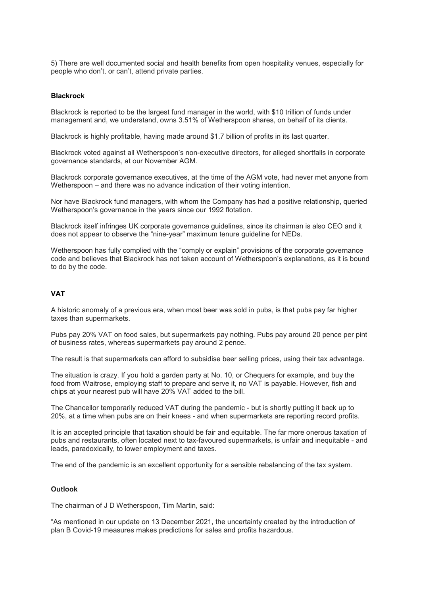5) There are well documented social and health benefits from open hospitality venues, especially for people who don't, or can't, attend private parties.

#### **Blackrock**

Blackrock is reported to be the largest fund manager in the world, with \$10 trillion of funds under management and, we understand, owns 3.51% of Wetherspoon shares, on behalf of its clients.

Blackrock is highly profitable, having made around \$1.7 billion of profits in its last quarter.

Blackrock voted against all Wetherspoon's non-executive directors, for alleged shortfalls in corporate governance standards, at our November AGM.

Blackrock corporate governance executives, at the time of the AGM vote, had never met anyone from Wetherspoon – and there was no advance indication of their voting intention.

Nor have Blackrock fund managers, with whom the Company has had a positive relationship, queried Wetherspoon's governance in the years since our 1992 flotation.

Blackrock itself infringes UK corporate governance guidelines, since its chairman is also CEO and it does not appear to observe the "nine-year" maximum tenure guideline for NEDs.

Wetherspoon has fully complied with the "comply or explain" provisions of the corporate governance code and believes that Blackrock has not taken account of Wetherspoon's explanations, as it is bound to do by the code.

# **VAT**

A historic anomaly of a previous era, when most beer was sold in pubs, is that pubs pay far higher taxes than supermarkets.

Pubs pay 20% VAT on food sales, but supermarkets pay nothing. Pubs pay around 20 pence per pint of business rates, whereas supermarkets pay around 2 pence.

The result is that supermarkets can afford to subsidise beer selling prices, using their tax advantage.

The situation is crazy. If you hold a garden party at No. 10, or Chequers for example, and buy the food from Waitrose, employing staff to prepare and serve it, no VAT is payable. However, fish and chips at your nearest pub will have 20% VAT added to the bill.

The Chancellor temporarily reduced VAT during the pandemic - but is shortly putting it back up to 20%, at a time when pubs are on their knees - and when supermarkets are reporting record profits.

It is an accepted principle that taxation should be fair and equitable. The far more onerous taxation of pubs and restaurants, often located next to tax-favoured supermarkets, is unfair and inequitable - and leads, paradoxically, to lower employment and taxes.

The end of the pandemic is an excellent opportunity for a sensible rebalancing of the tax system.

#### **Outlook**

The chairman of J D Wetherspoon, Tim Martin, said:

"As mentioned in our update on 13 December 2021, the uncertainty created by the introduction of plan B Covid-19 measures makes predictions for sales and profits hazardous.